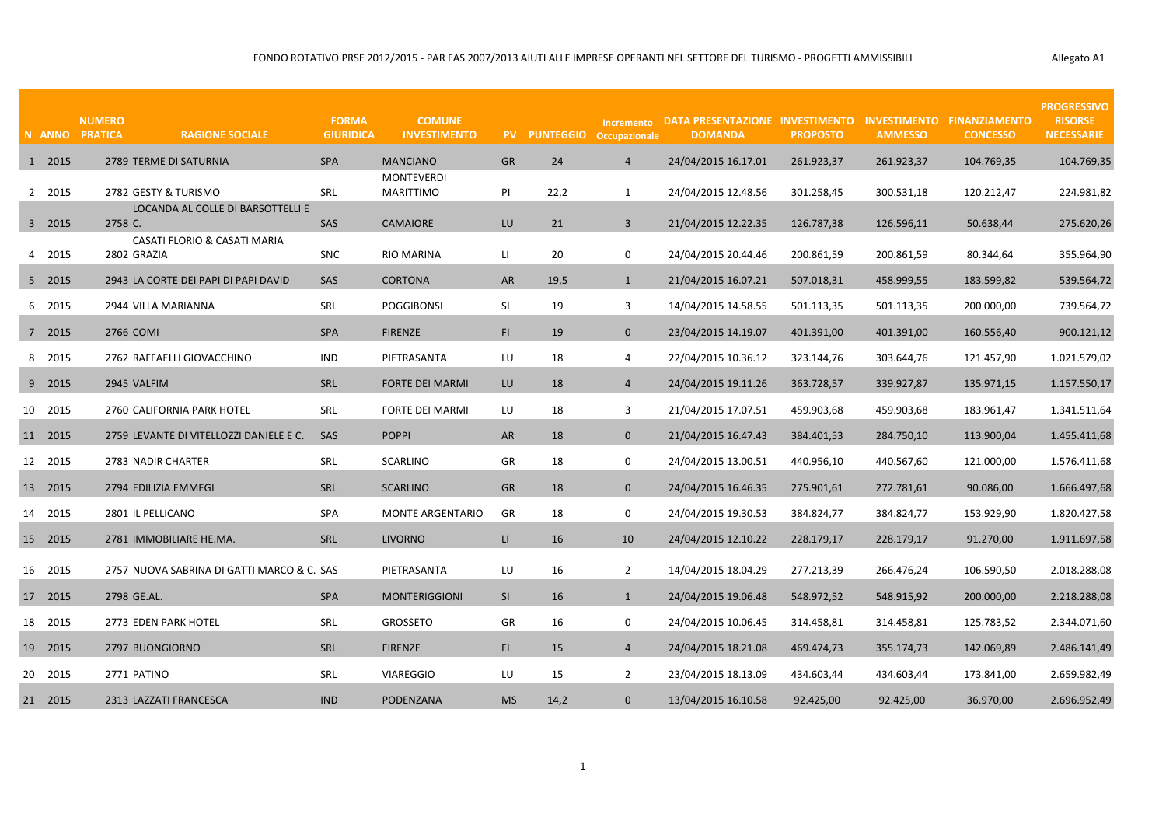|  | Allegato A1 |
|--|-------------|
|--|-------------|

|         | <b>NUMERO</b><br>N ANNO PRATICA | <b>RAGIONE SOCIALE</b>                     | <b>FORMA</b><br><b>GIURIDICA</b> | <b>COMUNE</b><br><b>INVESTIMENTO</b>  |              | PV PUNTEGGIO Occupazionale |                | Incremento DATA PRESENTAZIONE INVESTIMENTO INVESTIMENTO FINANZIAMENTO<br><b>DOMANDA</b> | <b>PROPOSTO</b> | <b>AMMESSO</b> | <b>CONCESSO</b> | <b>PROGRESSIVO</b><br><b>RISORSE</b><br><b>NECESSARIE</b> |
|---------|---------------------------------|--------------------------------------------|----------------------------------|---------------------------------------|--------------|----------------------------|----------------|-----------------------------------------------------------------------------------------|-----------------|----------------|-----------------|-----------------------------------------------------------|
| 1 2015  |                                 | 2789 TERME DI SATURNIA                     | <b>SPA</b>                       | <b>MANCIANO</b>                       | GR           | 24                         | $\overline{4}$ | 24/04/2015 16.17.01                                                                     | 261.923,37      | 261.923,37     | 104.769,35      | 104.769,35                                                |
| 2 2015  |                                 | 2782 GESTY & TURISMO                       | SRL                              | <b>MONTEVERDI</b><br><b>MARITTIMO</b> | PI           | 22,2                       | $\mathbf{1}$   | 24/04/2015 12.48.56                                                                     | 301.258,45      | 300.531,18     | 120.212,47      | 224.981,82                                                |
| 3 2015  | 2758 C.                         | LOCANDA AL COLLE DI BARSOTTELLI E          | SAS                              | <b>CAMAIORE</b>                       | LU           | 21                         | $\overline{3}$ | 21/04/2015 12.22.35                                                                     | 126.787,38      | 126.596,11     | 50.638,44       | 275.620,26                                                |
| 4 2015  | 2802 GRAZIA                     | CASATI FLORIO & CASATI MARIA               | <b>SNC</b>                       | <b>RIO MARINA</b>                     | $\mathsf{L}$ | 20                         | $\mathbf 0$    | 24/04/2015 20.44.46                                                                     | 200.861,59      | 200.861,59     | 80.344,64       | 355.964,90                                                |
| 5 2015  |                                 | 2943 LA CORTE DEI PAPI DI PAPI DAVID       | <b>SAS</b>                       | <b>CORTONA</b>                        | <b>AR</b>    | 19,5                       | 1              | 21/04/2015 16.07.21                                                                     | 507.018,31      | 458.999,55     | 183.599,82      | 539.564,72                                                |
| 6 2015  |                                 | 2944 VILLA MARIANNA                        | SRL                              | <b>POGGIBONSI</b>                     | SI           | 19                         | 3              | 14/04/2015 14.58.55                                                                     | 501.113,35      | 501.113,35     | 200.000,00      | 739.564,72                                                |
| 7 2015  | 2766 COMI                       |                                            | <b>SPA</b>                       | <b>FIRENZE</b>                        | F1           | 19                         | $\mathbf{0}$   | 23/04/2015 14.19.07                                                                     | 401.391,00      | 401.391,00     | 160.556,40      | 900.121,12                                                |
| 8 2015  |                                 | 2762 RAFFAELLI GIOVACCHINO                 | <b>IND</b>                       | PIETRASANTA                           | LU           | 18                         | 4              | 22/04/2015 10.36.12                                                                     | 323.144,76      | 303.644,76     | 121.457,90      | 1.021.579,02                                              |
| 9 2015  | 2945 VALFIM                     |                                            | <b>SRL</b>                       | <b>FORTE DEI MARMI</b>                | LU           | 18                         | $\overline{4}$ | 24/04/2015 19.11.26                                                                     | 363.728,57      | 339.927,87     | 135.971,15      | 1.157.550,17                                              |
| 10 2015 |                                 | 2760 CALIFORNIA PARK HOTEL                 | SRL                              | <b>FORTE DEI MARMI</b>                | LU           | 18                         | 3              | 21/04/2015 17.07.51                                                                     | 459.903,68      | 459.903,68     | 183.961,47      | 1.341.511,64                                              |
| 11 2015 |                                 | 2759 LEVANTE DI VITELLOZZI DANIELE E C.    | <b>SAS</b>                       | <b>POPPI</b>                          | AR           | 18                         | $\overline{0}$ | 21/04/2015 16.47.43                                                                     | 384.401,53      | 284.750,10     | 113.900,04      | 1.455.411,68                                              |
| 12 2015 |                                 | 2783 NADIR CHARTER                         | <b>SRL</b>                       | <b>SCARLINO</b>                       | GR           | 18                         | $\mathbf 0$    | 24/04/2015 13.00.51                                                                     | 440.956,10      | 440.567.60     | 121.000,00      | 1.576.411,68                                              |
| 13 2015 |                                 | 2794 EDILIZIA EMMEGI                       | <b>SRL</b>                       | <b>SCARLINO</b>                       | GR           | 18                         | $\mathbf{0}$   | 24/04/2015 16.46.35                                                                     | 275.901,61      | 272.781,61     | 90.086,00       | 1.666.497,68                                              |
| 14 2015 |                                 | 2801 IL PELLICANO                          | <b>SPA</b>                       | <b>MONTE ARGENTARIO</b>               | GR           | 18                         | $\mathbf 0$    | 24/04/2015 19.30.53                                                                     | 384.824,77      | 384.824,77     | 153.929,90      | 1.820.427,58                                              |
| 15 2015 |                                 | 2781 IMMOBILIARE HE.MA.                    | <b>SRL</b>                       | <b>LIVORNO</b>                        | $\mathsf{H}$ | 16                         | 10             | 24/04/2015 12.10.22                                                                     | 228.179,17      | 228.179,17     | 91.270,00       | 1.911.697,58                                              |
| 16 2015 |                                 | 2757 NUOVA SABRINA DI GATTI MARCO & C. SAS |                                  | PIETRASANTA                           | LU           | 16                         | $\overline{2}$ | 14/04/2015 18.04.29                                                                     | 277.213,39      | 266.476,24     | 106.590,50      | 2.018.288,08                                              |
| 17 2015 | 2798 GE.AL.                     |                                            | <b>SPA</b>                       | <b>MONTERIGGIONI</b>                  | <b>SI</b>    | 16                         | $\mathbf{1}$   | 24/04/2015 19.06.48                                                                     | 548.972,52      | 548.915,92     | 200.000,00      | 2.218.288,08                                              |
| 18 2015 |                                 | 2773 EDEN PARK HOTEL                       | SRL                              | <b>GROSSETO</b>                       | GR           | 16                         | $\mathbf 0$    | 24/04/2015 10.06.45                                                                     | 314.458,81      | 314.458,81     | 125.783,52      | 2.344.071,60                                              |
| 19 2015 |                                 | 2797 BUONGIORNO                            | <b>SRL</b>                       | <b>FIRENZE</b>                        | FI.          | 15                         | $\overline{4}$ | 24/04/2015 18.21.08                                                                     | 469.474,73      | 355.174,73     | 142.069,89      | 2.486.141,49                                              |
| 20 2015 | 2771 PATINO                     |                                            | SRL                              | <b>VIAREGGIO</b>                      | LU           | 15                         | $\overline{2}$ | 23/04/2015 18.13.09                                                                     | 434.603,44      | 434.603,44     | 173.841,00      | 2.659.982,49                                              |
| 21 2015 |                                 | 2313 LAZZATI FRANCESCA                     | <b>IND</b>                       | PODENZANA                             | <b>MS</b>    | 14,2                       | $\mathbf 0$    | 13/04/2015 16.10.58                                                                     | 92.425,00       | 92.425,00      | 36.970,00       | 2.696.952,49                                              |